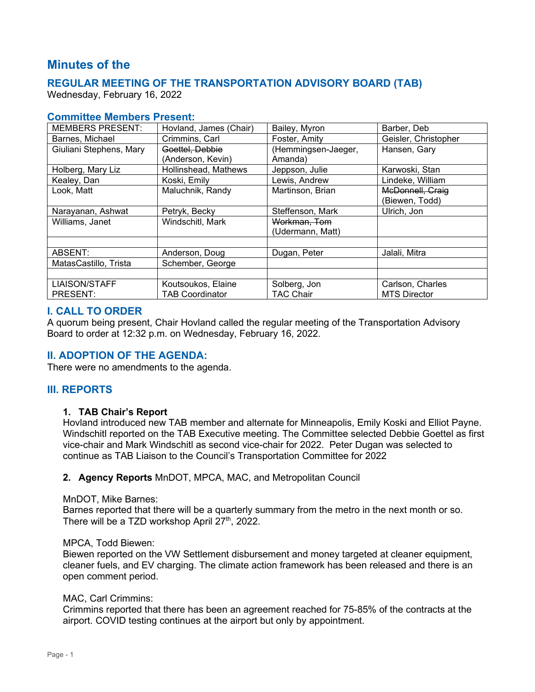# **Minutes of the**

## **REGULAR MEETING OF THE TRANSPORTATION ADVISORY BOARD (TAB)**

Wednesday, February 16, 2022

## **Committee Members Present:**

| <b>MEMBERS PRESENT:</b> | Hovland, James (Chair) | Bailey, Myron       | Barber, Deb          |
|-------------------------|------------------------|---------------------|----------------------|
| Barnes, Michael         | Crimmins, Carl         | Foster, Amity       | Geisler, Christopher |
| Giuliani Stephens, Mary | Goettel, Debbie        | (Hemmingsen-Jaeger, | Hansen, Gary         |
|                         | (Anderson, Kevin)      | Amanda)             |                      |
| Holberg, Mary Liz       | Hollinshead, Mathews   | Jeppson, Julie      | Karwoski, Stan       |
| Kealey, Dan             | Koski, Emily           | Lewis, Andrew       | Lindeke, William     |
| Look, Matt              | Maluchnik, Randy       | Martinson, Brian    | McDonnell, Craig     |
|                         |                        |                     | (Biewen, Todd)       |
| Narayanan, Ashwat       | Petryk, Becky          | Steffenson, Mark    | Ulrich, Jon          |
| Williams, Janet         | Windschitl, Mark       | Workman, Tom        |                      |
|                         |                        | (Udermann, Matt)    |                      |
|                         |                        |                     |                      |
| ABSENT:                 | Anderson, Doug         | Dugan, Peter        | Jalali, Mitra        |
| MatasCastillo, Trista   | Schember, George       |                     |                      |
|                         |                        |                     |                      |
| <b>LIAISON/STAFF</b>    | Koutsoukos, Elaine     | Solberg, Jon        | Carlson, Charles     |
| PRESENT:                | <b>TAB Coordinator</b> | <b>TAC Chair</b>    | <b>MTS Director</b>  |

## **I. CALL TO ORDER**

A quorum being present, Chair Hovland called the regular meeting of the Transportation Advisory Board to order at 12:32 p.m. on Wednesday, February 16, 2022.

## **II. ADOPTION OF THE AGENDA:**

There were no amendments to the agenda.

## **III. REPORTS**

#### **1. TAB Chair's Report**

Hovland introduced new TAB member and alternate for Minneapolis, Emily Koski and Elliot Payne. Windschitl reported on the TAB Executive meeting. The Committee selected Debbie Goettel as first vice-chair and Mark Windschitl as second vice-chair for 2022. Peter Dugan was selected to continue as TAB Liaison to the Council's Transportation Committee for 2022

#### **2. Agency Reports** MnDOT, MPCA, MAC, and Metropolitan Council

#### MnDOT, Mike Barnes:

Barnes reported that there will be a quarterly summary from the metro in the next month or so. There will be a TZD workshop April 27<sup>th</sup>, 2022.

#### MPCA, Todd Biewen:

Biewen reported on the VW Settlement disbursement and money targeted at cleaner equipment, cleaner fuels, and EV charging. The climate action framework has been released and there is an open comment period.

#### MAC, Carl Crimmins:

Crimmins reported that there has been an agreement reached for 75-85% of the contracts at the airport. COVID testing continues at the airport but only by appointment.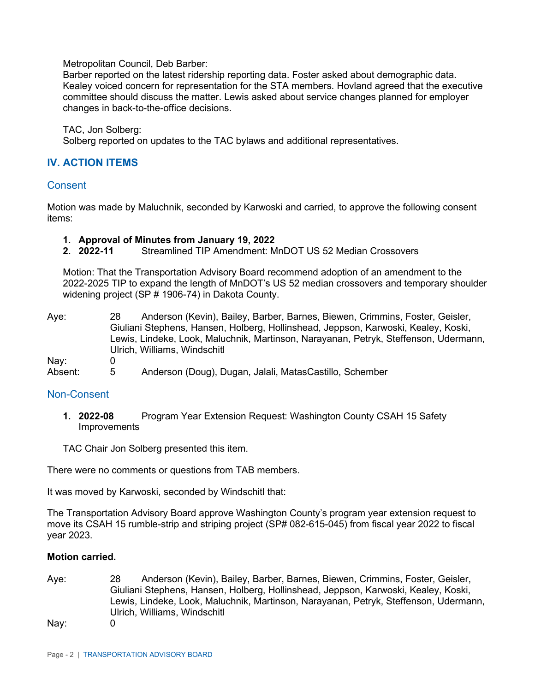Metropolitan Council, Deb Barber:

Barber reported on the latest ridership reporting data. Foster asked about demographic data. Kealey voiced concern for representation for the STA members. Hovland agreed that the executive committee should discuss the matter. Lewis asked about service changes planned for employer changes in back-to-the-office decisions.

TAC, Jon Solberg: Solberg reported on updates to the TAC bylaws and additional representatives.

## **IV. ACTION ITEMS**

#### **Consent**

Motion was made by Maluchnik, seconded by Karwoski and carried, to approve the following consent items:

# **1. Approval of Minutes from January 19, 2022**

**2. 2022-11** Streamlined TIP Amendment: MnDOT US 52 Median Crossovers

Motion: That the Transportation Advisory Board recommend adoption of an amendment to the 2022-2025 TIP to expand the length of MnDOT's US 52 median crossovers and temporary shoulder widening project (SP # 1906-74) in Dakota County.

Aye: 28 Anderson (Kevin), Bailey, Barber, Barnes, Biewen, Crimmins, Foster, Geisler, Giuliani Stephens, Hansen, Holberg, Hollinshead, Jeppson, Karwoski, Kealey, Koski, Lewis, Lindeke, Look, Maluchnik, Martinson, Narayanan, Petryk, Steffenson, Udermann, Ulrich, Williams, Windschitl Nay: 0 Absent: 5 Anderson (Doug), Dugan, Jalali, MatasCastillo, Schember

#### Non-Consent

**1. 2022-08** Program Year Extension Request: Washington County CSAH 15 Safety Improvements

TAC Chair Jon Solberg presented this item.

There were no comments or questions from TAB members.

It was moved by Karwoski, seconded by Windschitl that:

The Transportation Advisory Board approve Washington County's program year extension request to move its CSAH 15 rumble-strip and striping project (SP# 082-615-045) from fiscal year 2022 to fiscal year 2023.

#### **Motion carried.**

Aye: 28 Anderson (Kevin), Bailey, Barber, Barnes, Biewen, Crimmins, Foster, Geisler, Giuliani Stephens, Hansen, Holberg, Hollinshead, Jeppson, Karwoski, Kealey, Koski, Lewis, Lindeke, Look, Maluchnik, Martinson, Narayanan, Petryk, Steffenson, Udermann, Ulrich, Williams, Windschitl

Nay: 0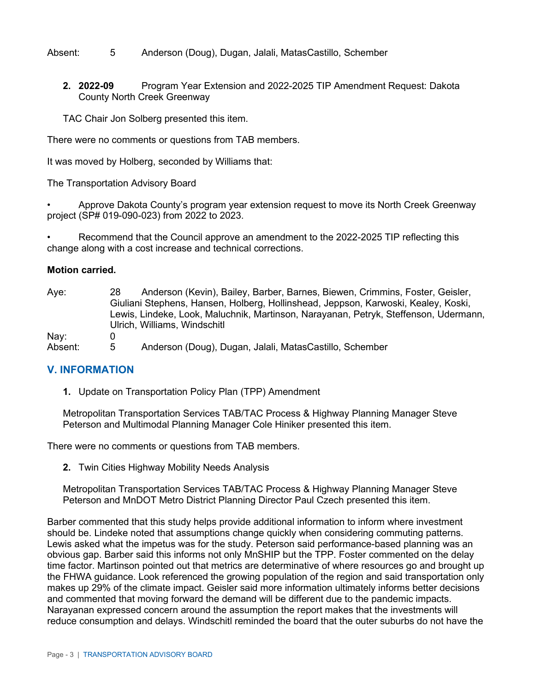Absent: 5 Anderson (Doug), Dugan, Jalali, MatasCastillo, Schember

**2. 2022-09** Program Year Extension and 2022-2025 TIP Amendment Request: Dakota County North Creek Greenway

TAC Chair Jon Solberg presented this item.

There were no comments or questions from TAB members.

It was moved by Holberg, seconded by Williams that:

The Transportation Advisory Board

• Approve Dakota County's program year extension request to move its North Creek Greenway project (SP# 019-090-023) from 2022 to 2023.

• Recommend that the Council approve an amendment to the 2022-2025 TIP reflecting this change along with a cost increase and technical corrections.

#### **Motion carried.**

| Aye:    | 28 | Anderson (Kevin), Bailey, Barber, Barnes, Biewen, Crimmins, Foster, Geisler,         |
|---------|----|--------------------------------------------------------------------------------------|
|         |    | Giuliani Stephens, Hansen, Holberg, Hollinshead, Jeppson, Karwoski, Kealey, Koski,   |
|         |    | Lewis, Lindeke, Look, Maluchnik, Martinson, Narayanan, Petryk, Steffenson, Udermann, |
|         |    | Ulrich, Williams, Windschitl                                                         |
| Nay:    |    |                                                                                      |
| Absent: | 5  | Anderson (Doug), Dugan, Jalali, MatasCastillo, Schember                              |

## **V. INFORMATION**

**1.** Update on Transportation Policy Plan (TPP) Amendment

Metropolitan Transportation Services TAB/TAC Process & Highway Planning Manager Steve Peterson and Multimodal Planning Manager Cole Hiniker presented this item.

There were no comments or questions from TAB members.

**2.** Twin Cities Highway Mobility Needs Analysis

Metropolitan Transportation Services TAB/TAC Process & Highway Planning Manager Steve Peterson and MnDOT Metro District Planning Director Paul Czech presented this item.

Barber commented that this study helps provide additional information to inform where investment should be. Lindeke noted that assumptions change quickly when considering commuting patterns. Lewis asked what the impetus was for the study. Peterson said performance-based planning was an obvious gap. Barber said this informs not only MnSHIP but the TPP. Foster commented on the delay time factor. Martinson pointed out that metrics are determinative of where resources go and brought up the FHWA guidance. Look referenced the growing population of the region and said transportation only makes up 29% of the climate impact. Geisler said more information ultimately informs better decisions and commented that moving forward the demand will be different due to the pandemic impacts. Narayanan expressed concern around the assumption the report makes that the investments will reduce consumption and delays. Windschitl reminded the board that the outer suburbs do not have the